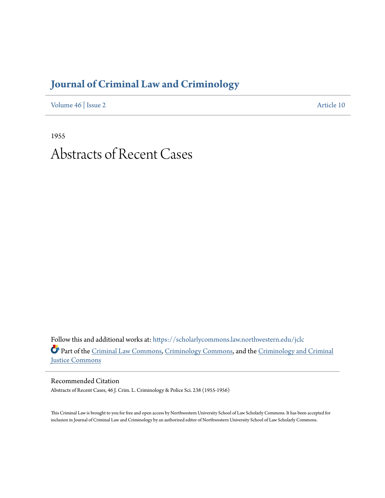## **[Journal of Criminal Law and Criminology](https://scholarlycommons.law.northwestern.edu/jclc?utm_source=scholarlycommons.law.northwestern.edu%2Fjclc%2Fvol46%2Fiss2%2F10&utm_medium=PDF&utm_campaign=PDFCoverPages)**

[Volume 46](https://scholarlycommons.law.northwestern.edu/jclc/vol46?utm_source=scholarlycommons.law.northwestern.edu%2Fjclc%2Fvol46%2Fiss2%2F10&utm_medium=PDF&utm_campaign=PDFCoverPages) | [Issue 2](https://scholarlycommons.law.northwestern.edu/jclc/vol46/iss2?utm_source=scholarlycommons.law.northwestern.edu%2Fjclc%2Fvol46%2Fiss2%2F10&utm_medium=PDF&utm_campaign=PDFCoverPages) [Article 10](https://scholarlycommons.law.northwestern.edu/jclc/vol46/iss2/10?utm_source=scholarlycommons.law.northwestern.edu%2Fjclc%2Fvol46%2Fiss2%2F10&utm_medium=PDF&utm_campaign=PDFCoverPages)

1955 Abstracts of Recent Cases

Follow this and additional works at: [https://scholarlycommons.law.northwestern.edu/jclc](https://scholarlycommons.law.northwestern.edu/jclc?utm_source=scholarlycommons.law.northwestern.edu%2Fjclc%2Fvol46%2Fiss2%2F10&utm_medium=PDF&utm_campaign=PDFCoverPages) Part of the [Criminal Law Commons](http://network.bepress.com/hgg/discipline/912?utm_source=scholarlycommons.law.northwestern.edu%2Fjclc%2Fvol46%2Fiss2%2F10&utm_medium=PDF&utm_campaign=PDFCoverPages), [Criminology Commons](http://network.bepress.com/hgg/discipline/417?utm_source=scholarlycommons.law.northwestern.edu%2Fjclc%2Fvol46%2Fiss2%2F10&utm_medium=PDF&utm_campaign=PDFCoverPages), and the [Criminology and Criminal](http://network.bepress.com/hgg/discipline/367?utm_source=scholarlycommons.law.northwestern.edu%2Fjclc%2Fvol46%2Fiss2%2F10&utm_medium=PDF&utm_campaign=PDFCoverPages) [Justice Commons](http://network.bepress.com/hgg/discipline/367?utm_source=scholarlycommons.law.northwestern.edu%2Fjclc%2Fvol46%2Fiss2%2F10&utm_medium=PDF&utm_campaign=PDFCoverPages)

Recommended Citation Abstracts of Recent Cases, 46 J. Crim. L. Criminology & Police Sci. 238 (1955-1956)

This Criminal Law is brought to you for free and open access by Northwestern University School of Law Scholarly Commons. It has been accepted for inclusion in Journal of Criminal Law and Criminology by an authorized editor of Northwestern University School of Law Scholarly Commons.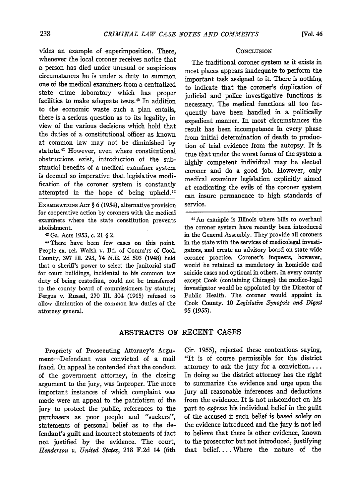vides an example of superimposition. There, whenever the local coroner receives notice that a person has died under unusual or suspicious circumstances he is under a duty to summon one of the medical examiners from a centralized state crime laboratory which has proper facilities to make adequate tests.<sup>42</sup> In addition to the economic waste such a plan entails, there is a serious question as to its legality, in view of the various decisions which hold that the duties of a constitutional officer as known at common law may not be diminished by statute.<sup>43</sup> However, even where constitutional obstructions exist, introduction of the substantial benefits of a medical examiner system is deemed so imperative that legislative modification of the coroner system is constantly attempted in the hope of being upheld.<sup>44</sup>

EXAMINATIONS Act  $\S 6$  (1954), alternative provision for cooperative action by coroners with the medical examiners where the state constitution prevents abolishment.

4 Ga. Acts 1953, c. 21 § 2.

4 There have been few cases on this point. People ex. rel. Walsh v. Bd. of Comm'rs of Cook County, 397 Ill. 293, 74 N.E. 2d 503 (1948) held that a sheriff's power to select the janitorial staff for court buildings, incidental to his common law duty of being custodian, could not be transferred to the county board of commissioners by statute; Fergus v. Russel, 270 **I1.** 304 (1915) refused to allow diminution of the common law duties of the attorney general.

## **CONCLUSION**

The traditional coroner system as it exists in most places appears inadequate to perform the important task assigned to it. There is nothing to indicate that the coroner's duplication of judicial and police investigative functions is necessary. The medical functions all too frequently have been handled in a politically expedient manner. In most circumstances the result has been incompetence in every phase from initial determination of death to production of trial evidence from the autopsy. It is true that under the worst forms of the system a highly competent individual may be elected coroner and do a good job. However, only medical examiner legislation explicitly aimed at eradicating the evils of the coroner system can insure permanence to high standards of service.

<sup>44</sup> An example is Illinois where bills to overhaul the coroner system have recently been introduced in the General Assembly. They provide all coroners in the state with the services of medicolegal investigators, and create an advisory board on state-wide coroner practice. Coroner's inquests, however, would be retained as mandatory in homicide and suicide cases and optional in others. In every county except Cook (containing Chicago) the medico-legal investigator would be appointed by the Director of Public Health. The coroner would appoint in Cook County. 10 *Legislative Synopsis and Digest* 95 (1955).

## ABSTRACTS OF RECENT CASES

Propriety of Prosecuting Attorney's Argument-Defendant was convicted of a mail fraud. On appeal he contended that the conduct of the government attorney, in the closing argument to the jury, was improper. The more important instances of which complaint was made were an appeal to the patriotism of the jury to protect the public, references to the purchasers as poor people and "suckers", statements of personal belief as to the defendant's guilt and incorrect statements of fact not justified by the evidence. The court, *Henderson v. United States,* 218 F.2d 14 (6th Cir. 1955), rejected these contentions saying, "It is of course permissible for the district attorney to ask the jury for a conviction.... In doing so the district attorney has the right to summarize the evidence and urge upon the jury all reasonable inferences and deductions from the evidence. It is not misconduct on his part to *express* his individual belief in the guilt of the accused if such belief is based solely on the evidence introduced and the jury is not led to believe that there is other evidence, known to the prosecutor but not introduced, justifying that belief.... Where the nature of the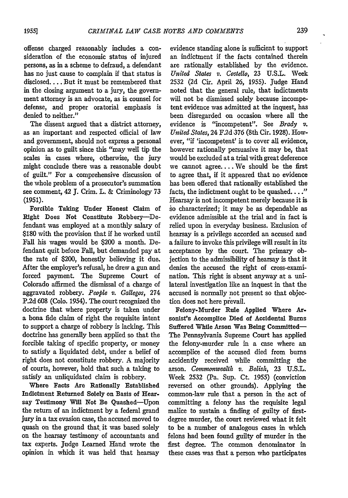offense charged reasonably includes a consideration of the economic status of injured persons, as in a scheme to defraud, a defendant has no just cause to complain if that status is disclosed.... But it must be remembered that in the closing argument to a jury, the government attorney is an advocate, as is counsel for defense, and proper oratorial emphasis is denied to neither."

The dissent argued that a district attorney, as an important and respected official of law and government, should not express a personal opinion as to guilt since this "may well tip the scales in cases where, otherwise, the jury might conclude there was a reasonable doubt of guilt." For a comprehensive discussion of the whole problem of a prosecutor's summation see comment, 42 **J.** Crim. L. & Criminology **73** (1951).

Forcible Taking Under Honest Claim of Right Does Not Constitute Robbery-Defendant was employed at a monthly salary of \$180 with the provision that if he worked until Fall his wages would be \$200 a month. Defendant quit before Fall, but demanded pay at the rate of \$200, honestly believing it due. After the employer's refusal, he drew a gun and forced payment. The Supreme Court of Colorado affirmed the dismissal of a charge of aggravated robbery. *People* v. Gallegos, 274 **P.2d** 608 (Colo. 1954). The court recognized the doctrine that where property is taken under a bona fide claim of right the requisite intent to support a charge of robbery is lacking. This doctrine has generally been applied so that the forcible taking of specific property, or money to satisfy a liquidated debt, under a belief of right does not constitute robbery. A majority of courts, however, hold that such a taking to satisfy an unliquidated claim is robbery.

Where Facts Are Rationally Established Indictment Returned Solely on Basis of Hearsay Testimony Will Not Be Quashed-Upon the return of an indictment by a federal grand jury in a tax evasion case, the accused moved to quash on the ground that it was based solely on the hearsay testimony of accountants and tax experts. judge Learned Hand wrote the opinion in which it was held that hearsay

evidence standing alone is sufficient to support an indictment if the facts contained therein are rationally established by the evidence. *United States v. Costello,* 23 U.S.L. Week 2532 (2d Cir. April 26, 1955). Judge Hand noted that the general rule, that indictments will not be dismissed solely because incompetent evidence was admitted at the inquest, has been disregarded on occasion where all the evidence is "incompetent". See *Brady v. United States,* 24 F.2d 376 (8th Cir. 1928). However, "if 'incompetent' is to cover all evidence, however rationally persuasive it may be, that would be excluded at a trial with great deference we cannot agree.... We should be the first to agree that, if it appeared that no evidence has been offered that rationally established the facts, the indictment ought to be quashed.  $\ldots$ ." Hearsay is not incompetent merely because it is io characterized; it may be as dependable as evidence admissible at the trial and in fact is relied upon in everyday business. Exclusion of hearsay is a privilege accorded an accused and a failure to invoke this privilege will result in its acceptance **by** the court. The primary objection to the admissibility of hearsay is that it denies the accused the right of cross-examination. This right is absent anyway at a unilateral investigation like an inquest in that the accused is normally not present so that objection does not here prevail.

Felony-Murder Rule Applied Where **Ar**sonist's Accomplice Died of Accidental **Burns** Suffered While Arson Was Being Committed-The Pennsylvania Supreme Court has applied the felony-murder rule in a case where an accomplice of the accused died from **burns** accidently received while committing the arson. *Commonwealth v. Bolish,* 23 **U.S.L.** Week 2532 (Pa. Sup. Ct. 1955) (conviction reversed on other grounds). Applying the common-law rule that a person in the act of committing a felony has the requisite legal malice to sustain a finding of guilty of firstdegree murder, the court reviewed what it felt to be **a** number of analogous cases in which felons had been found guilty of murder in the first degree. The common denominator in these cases was that a person who participates